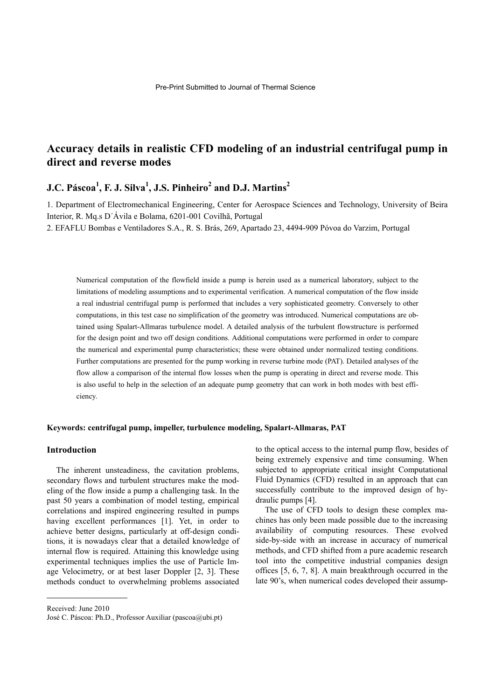# **Accuracy details in realistic CFD modeling of an industrial centrifugal pump in direct and reverse modes**

## **J.C. Páscoa1 , F. J. Silva<sup>1</sup> , J.S. Pinheiro2 and D.J. Martins<sup>2</sup>**

1. Department of Electromechanical Engineering, Center for Aerospace Sciences and Technology, University of Beira Interior, R. Mq.s D´Ávila e Bolama, 6201-001 Covilhã, Portugal

2. EFAFLU Bombas e Ventiladores S.A., R. S. Brás, 269, Apartado 23, 4494-909 Póvoa do Varzim, Portugal

Numerical computation of the flowfield inside a pump is herein used as a numerical laboratory, subject to the limitations of modeling assumptions and to experimental verification. A numerical computation of the flow inside a real industrial centrifugal pump is performed that includes a very sophisticated geometry. Conversely to other computations, in this test case no simplification of the geometry was introduced. Numerical computations are obtained using Spalart-Allmaras turbulence model. A detailed analysis of the turbulent flowstructure is performed for the design point and two off design conditions. Additional computations were performed in order to compare the numerical and experimental pump characteristics; these were obtained under normalized testing conditions. Further computations are presented for the pump working in reverse turbine mode (PAT). Detailed analyses of the flow allow a comparison of the internal flow losses when the pump is operating in direct and reverse mode. This is also useful to help in the selection of an adequate pump geometry that can work in both modes with best efficiency.

### **Keywords: centrifugal pump, impeller, turbulence modeling, Spalart-Allmaras, PAT**

### **Introduction**

The inherent unsteadiness, the cavitation problems, secondary flows and turbulent structures make the modeling of the flow inside a pump a challenging task. In the past 50 years a combination of model testing, empirical correlations and inspired engineering resulted in pumps having excellent performances [1]. Yet, in order to achieve better designs, particularly at off-design conditions, it is nowadays clear that a detailed knowledge of internal flow is required. Attaining this knowledge using experimental techniques implies the use of Particle Image Velocimetry, or at best laser Doppler [2, 3]. These methods conduct to overwhelming problems associated to the optical access to the internal pump flow, besides of being extremely expensive and time consuming. When subjected to appropriate critical insight Computational Fluid Dynamics (CFD) resulted in an approach that can successfully contribute to the improved design of hydraulic pumps [4].

The use of CFD tools to design these complex machines has only been made possible due to the increasing availability of computing resources. These evolved side-by-side with an increase in accuracy of numerical methods, and CFD shifted from a pure academic research tool into the competitive industrial companies design offices [5, 6, 7, 8]. A main breakthrough occurred in the late 90's, when numerical codes developed their assump-

Received: June 2010

 $\overline{a}$ 

José C. Páscoa: Ph.D., Professor Auxiliar (pascoa@ubi.pt)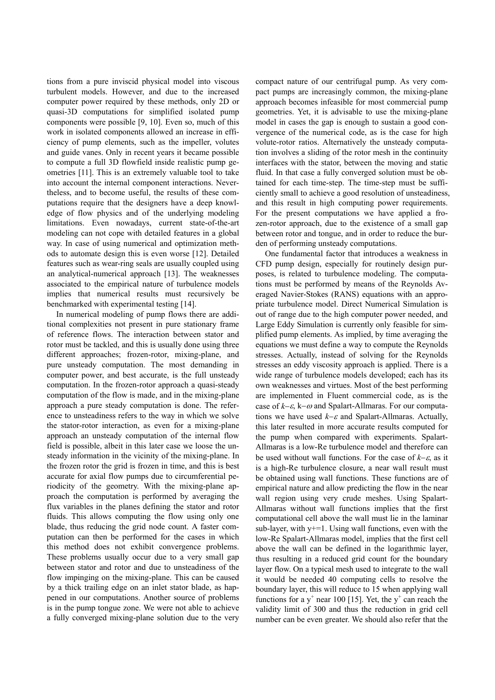tions from a pure inviscid physical model into viscous turbulent models. However, and due to the increased computer power required by these methods, only 2D or quasi-3D computations for simplified isolated pump components were possible [9, 10]. Even so, much of this work in isolated components allowed an increase in efficiency of pump elements, such as the impeller, volutes and guide vanes. Only in recent years it became possible to compute a full 3D flowfield inside realistic pump geometries [11]. This is an extremely valuable tool to take into account the internal component interactions. Nevertheless, and to become useful, the results of these computations require that the designers have a deep knowledge of flow physics and of the underlying modeling limitations. Even nowadays, current state-of-the-art modeling can not cope with detailed features in a global way. In case of using numerical and optimization methods to automate design this is even worse [12]. Detailed features such as wear-ring seals are usually coupled using an analytical-numerical approach [13]. The weaknesses associated to the empirical nature of turbulence models implies that numerical results must recursively be benchmarked with experimental testing [14].

In numerical modeling of pump flows there are additional complexities not present in pure stationary frame of reference flows. The interaction between stator and rotor must be tackled, and this is usually done using three different approaches; frozen-rotor, mixing-plane, and pure unsteady computation. The most demanding in computer power, and best accurate, is the full unsteady computation. In the frozen-rotor approach a quasi-steady computation of the flow is made, and in the mixing-plane approach a pure steady computation is done. The reference to unsteadiness refers to the way in which we solve the stator-rotor interaction, as even for a mixing-plane approach an unsteady computation of the internal flow field is possible, albeit in this later case we loose the unsteady information in the vicinity of the mixing-plane. In the frozen rotor the grid is frozen in time, and this is best accurate for axial flow pumps due to circumferential periodicity of the geometry. With the mixing-plane approach the computation is performed by averaging the flux variables in the planes defining the stator and rotor fluids. This allows computing the flow using only one blade, thus reducing the grid node count. A faster computation can then be performed for the cases in which this method does not exhibit convergence problems. These problems usually occur due to a very small gap between stator and rotor and due to unsteadiness of the flow impinging on the mixing-plane. This can be caused by a thick trailing edge on an inlet stator blade, as happened in our computations. Another source of problems is in the pump tongue zone. We were not able to achieve a fully converged mixing-plane solution due to the very compact nature of our centrifugal pump. As very compact pumps are increasingly common, the mixing-plane approach becomes infeasible for most commercial pump geometries. Yet, it is advisable to use the mixing-plane model in cases the gap is enough to sustain a good convergence of the numerical code, as is the case for high volute-rotor ratios. Alternatively the unsteady computation involves a sliding of the rotor mesh in the continuity interfaces with the stator, between the moving and static fluid. In that case a fully converged solution must be obtained for each time-step. The time-step must be sufficiently small to achieve a good resolution of unsteadiness, and this result in high computing power requirements. For the present computations we have applied a frozen-rotor approach, due to the existence of a small gap between rotor and tongue, and in order to reduce the burden of performing unsteady computations.

One fundamental factor that introduces a weakness in CFD pump design, especially for routinely design purposes, is related to turbulence modeling. The computations must be performed by means of the Reynolds Averaged Navier-Stokes (RANS) equations with an appropriate turbulence model. Direct Numerical Simulation is out of range due to the high computer power needed, and Large Eddy Simulation is currently only feasible for simplified pump elements. As implied, by time averaging the equations we must define a way to compute the Reynolds stresses. Actually, instead of solving for the Reynolds stresses an eddy viscosity approach is applied. There is a wide range of turbulence models developed; each has its own weaknesses and virtues. Most of the best performing are implemented in Fluent commercial code, as is the case of  $k-\varepsilon$ ,  $k-\omega$  and Spalart-Allmaras. For our computations we have used  $k-\varepsilon$  and Spalart-Allmaras. Actually, this later resulted in more accurate results computed for the pump when compared with experiments. Spalart-Allmaras is a low-Re turbulence model and therefore can be used without wall functions. For the case of  $k-\varepsilon$ , as it is a high-Re turbulence closure, a near wall result must be obtained using wall functions. These functions are of empirical nature and allow predicting the flow in the near wall region using very crude meshes. Using Spalart-Allmaras without wall functions implies that the first computational cell above the wall must lie in the laminar sub-layer, with  $y+=1$ . Using wall functions, even with the low-Re Spalart-Allmaras model, implies that the first cell above the wall can be defined in the logarithmic layer, thus resulting in a reduced grid count for the boundary layer flow. On a typical mesh used to integrate to the wall it would be needed 40 computing cells to resolve the boundary layer, this will reduce to 15 when applying wall functions for a  $y^+$  near 100 [15]. Yet, the  $y^+$  can reach the validity limit of 300 and thus the reduction in grid cell number can be even greater. We should also refer that the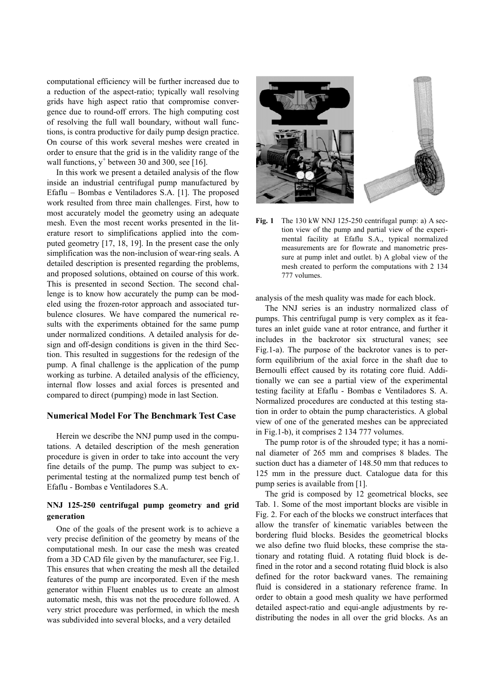computational efficiency will be further increased due to a reduction of the aspect-ratio; typically wall resolving grids have high aspect ratio that compromise convergence due to round-off errors. The high computing cost of resolving the full wall boundary, without wall functions, is contra productive for daily pump design practice. On course of this work several meshes were created in order to ensure that the grid is in the validity range of the wall functions,  $y^+$  between 30 and 300, see [16].

In this work we present a detailed analysis of the flow inside an industrial centrifugal pump manufactured by Efaflu – Bombas e Ventiladores S.A. [1]. The proposed work resulted from three main challenges. First, how to most accurately model the geometry using an adequate mesh. Even the most recent works presented in the literature resort to simplifications applied into the computed geometry [17, 18, 19]. In the present case the only simplification was the non-inclusion of wear-ring seals. A detailed description is presented regarding the problems. and proposed solutions, obtained on course of this work. This is presented in second Section. The second challenge is to know how accurately the pump can be modeled using the frozen-rotor approach and associated turbulence closures. We have compared the numerical results with the experiments obtained for the same pump under normalized conditions. A detailed analysis for design and off-design conditions is given in the third Section. This resulted in suggestions for the redesign of the pump. A final challenge is the application of the pump working as turbine. A detailed analysis of the efficiency, internal flow losses and axial forces is presented and compared to direct (pumping) mode in last Section.

### **Numerical Model For The Benchmark Test Case**

Herein we describe the NNJ pump used in the computations. A detailed description of the mesh generation procedure is given in order to take into account the very fine details of the pump. The pump was subject to experimental testing at the normalized pump test bench of Efaflu - Bombas e Ventiladores S.A.

### NNJ 125-250 centrifugal pump geometry and grid generation

One of the goals of the present work is to achieve a very precise definition of the geometry by means of the computational mesh. In our case the mesh was created from a 3D CAD file given by the manufacturer, see Fig.1. This ensures that when creating the mesh all the detailed features of the pump are incorporated. Even if the mesh generator within Fluent enables us to create an almost automatic mesh, this was not the procedure followed. A very strict procedure was performed, in which the mesh was subdivided into several blocks, and a very detailed



 $Fig. 1$ The 130 kW NNJ 125-250 centrifugal pump: a) A section view of the pump and partial view of the experimental facility at Efaflu S.A., typical normalized measurements are for flowrate and manometric pressure at pump inlet and outlet. b) A global view of the mesh created to perform the computations with 2 134 777 volumes.

analysis of the mesh quality was made for each block.

The NNJ series is an industry normalized class of pumps. This centrifugal pump is very complex as it features an inlet guide vane at rotor entrance, and further it includes in the backrotor six structural vanes; see Fig.1-a). The purpose of the backrotor vanes is to perform equilibrium of the axial force in the shaft due to Bernoulli effect caused by its rotating core fluid. Additionally we can see a partial view of the experimental testing facility at Efaflu - Bombas e Ventiladores S. A. Normalized procedures are conducted at this testing station in order to obtain the pump characteristics. A global view of one of the generated meshes can be appreciated in Fig.1-b), it comprises 2 134 777 volumes.

The pump rotor is of the shrouded type; it has a nominal diameter of 265 mm and comprises 8 blades. The suction duct has a diameter of 148.50 mm that reduces to 125 mm in the pressure duct. Catalogue data for this pump series is available from [1].

The grid is composed by 12 geometrical blocks, see Tab. 1. Some of the most important blocks are visible in Fig. 2. For each of the blocks we construct interfaces that allow the transfer of kinematic variables between the bordering fluid blocks. Besides the geometrical blocks we also define two fluid blocks, these comprise the stationary and rotating fluid. A rotating fluid block is defined in the rotor and a second rotating fluid block is also defined for the rotor backward vanes. The remaining fluid is considered in a stationary reference frame. In order to obtain a good mesh quality we have performed detailed aspect-ratio and equi-angle adjustments by redistributing the nodes in all over the grid blocks. As an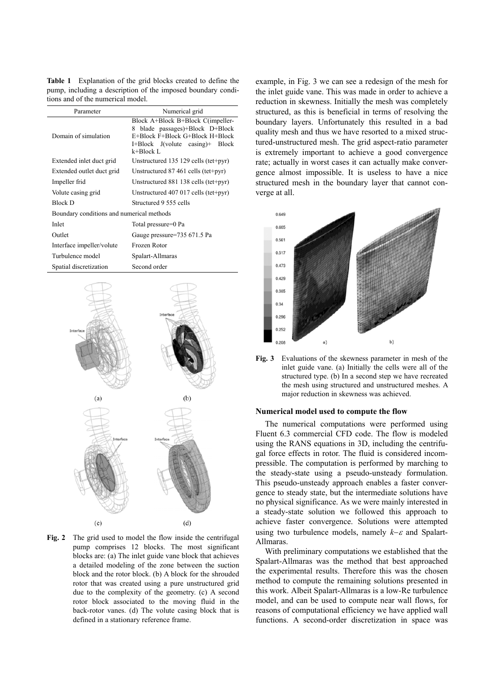Table 1 Explanation of the grid blocks created to define the pump, including a description of the imposed boundary conditions and of the numerical model.

| Parameter                                 | Numerical grid                                                                                                                                                    |  |  |  |
|-------------------------------------------|-------------------------------------------------------------------------------------------------------------------------------------------------------------------|--|--|--|
| Domain of simulation                      | Block A+Block B+Block C(impeller-<br>blade passages)+Block D+Block<br>8<br>E+Block F+Block G+Block H+Block<br>$I + Block$ J(volute casing)+<br>Block<br>k+Block L |  |  |  |
| Extended inlet duct grid                  | Unstructured 135 129 cells (tet+pyr)                                                                                                                              |  |  |  |
| Extended outlet duct grid                 | Unstructured $87,461$ cells (tet+pyr)                                                                                                                             |  |  |  |
| Impeller frid                             | Unstructured 881 138 cells (tet+pyr)                                                                                                                              |  |  |  |
| Volute casing grid                        | Unstructured $407\,017$ cells (tet+pyr)                                                                                                                           |  |  |  |
| Block D                                   | Structured 9 555 cells                                                                                                                                            |  |  |  |
| Boundary conditions and numerical methods |                                                                                                                                                                   |  |  |  |
| Inlet                                     | Total pressure=0 Pa                                                                                                                                               |  |  |  |
| Outlet                                    | Gauge pressure=735 671.5 Pa                                                                                                                                       |  |  |  |
| Interface impeller/volute                 | Frozen Rotor                                                                                                                                                      |  |  |  |
| Turbulence model                          | Spalart-Allmaras                                                                                                                                                  |  |  |  |
| Spatial discretization                    | Second order                                                                                                                                                      |  |  |  |



Fig. 2 The grid used to model the flow inside the centrifugal pump comprises 12 blocks. The most significant blocks are: (a) The inlet guide vane block that achieves a detailed modeling of the zone between the suction block and the rotor block. (b) A block for the shrouded rotor that was created using a pure unstructured grid due to the complexity of the geometry. (c) A second rotor block associated to the moving fluid in the back-rotor vanes. (d) The volute casing block that is defined in a stationary reference frame.

example, in Fig. 3 we can see a redesign of the mesh for the inlet guide vane. This was made in order to achieve a reduction in skewness. Initially the mesh was completely structured, as this is beneficial in terms of resolving the boundary layers. Unfortunately this resulted in a bad quality mesh and thus we have resorted to a mixed structured-unstructured mesh. The grid aspect-ratio parameter is extremely important to achieve a good convergence rate; actually in worst cases it can actually make convergence almost impossible. It is useless to have a nice structured mesh in the boundary layer that cannot converge at all.



Fig. 3 Evaluations of the skewness parameter in mesh of the inlet guide vane. (a) Initially the cells were all of the structured type. (b) In a second step we have recreated the mesh using structured and unstructured meshes. A major reduction in skewness was achieved.

#### Numerical model used to compute the flow

The numerical computations were performed using Fluent 6.3 commercial CFD code. The flow is modeled using the RANS equations in 3D, including the centrifugal force effects in rotor. The fluid is considered incompressible. The computation is performed by marching to the steady-state using a pseudo-unsteady formulation. This pseudo-unsteady approach enables a faster convergence to steady state, but the intermediate solutions have no physical significance. As we were mainly interested in a steady-state solution we followed this approach to achieve faster convergence. Solutions were attempted using two turbulence models, namely  $k-\varepsilon$  and Spalart-Allmaras.

With preliminary computations we established that the Spalart-Allmaras was the method that best approached the experimental results. Therefore this was the chosen method to compute the remaining solutions presented in this work. Albeit Spalart-Allmaras is a low-Re turbulence model, and can be used to compute near wall flows, for reasons of computational efficiency we have applied wall functions. A second-order discretization in space was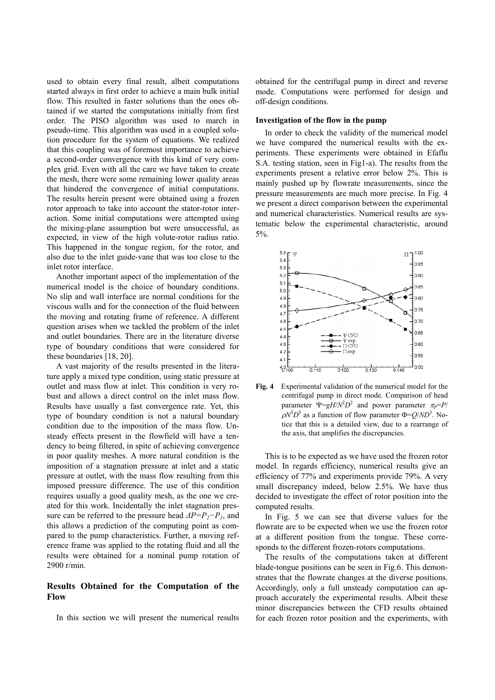used to obtain every final result, albeit computations started always in first order to achieve a main bulk initial flow. This resulted in faster solutions than the ones obtained if we started the computations initially from first order. The PISO algorithm was used to march in pseudo-time. This algorithm was used in a coupled solution procedure for the system of equations. We realized that this coupling was of foremost importance to achieve a second-order convergence with this kind of very complex grid. Even with all the care we have taken to create the mesh, there were some remaining lower quality areas that hindered the convergence of initial computations. The results herein present were obtained using a frozen rotor approach to take into account the stator-rotor interaction. Some initial computations were attempted using the mixing-plane assumption but were unsuccessful, as expected, in view of the high volute-rotor radius ratio. This happened in the tongue region, for the rotor, and also due to the inlet guide-vane that was too close to the inlet rotor interface.

Another important aspect of the implementation of the numerical model is the choice of boundary conditions. No slip and wall interface are normal conditions for the viscous walls and for the connection of the fluid between the moving and rotating frame of reference. A different question arises when we tackled the problem of the inlet and outlet boundaries. There are in the literature diverse type of boundary conditions that were considered for these boundaries  $[18, 20]$ .

A vast majority of the results presented in the literature apply a mixed type condition, using static pressure at outlet and mass flow at inlet. This condition is very robust and allows a direct control on the inlet mass flow. Results have usually a fast convergence rate. Yet, this type of boundary condition is not a natural boundary condition due to the imposition of the mass flow. Unsteady effects present in the flowfield will have a tendency to being filtered, in spite of achieving convergence in poor quality meshes. A more natural condition is the imposition of a stagnation pressure at inlet and a static pressure at outlet, with the mass flow resulting from this imposed pressure difference. The use of this condition requires usually a good quality mesh, as the one we created for this work. Incidentally the inlet stagnation pressure can be referred to the pressure head  $\Delta P = P_2 - P_1$ , and this allows a prediction of the computing point as compared to the pump characteristics. Further, a moving reference frame was applied to the rotating fluid and all the results were obtained for a nominal pump rotation of  $2900$  r/min

## Results Obtained for the Computation of the Flow

In this section we will present the numerical results

obtained for the centrifugal pump in direct and reverse mode. Computations were performed for design and off-design conditions.

#### Investigation of the flow in the pump

In order to check the validity of the numerical model we have compared the numerical results with the experiments. These experiments were obtained in Efaflu S.A. testing station, seen in Fig1-a). The results from the experiments present a relative error below 2%. This is mainly pushed up by flowrate measurements, since the pressure measurements are much more precise. In Fig. 4 we present a direct comparison between the experimental and numerical characteristics. Numerical results are systematic below the experimental characteristic, around  $5\%$ .



Fig.  $4$ Experimental validation of the numerical model for the centrifugal pump in direct mode. Comparison of head parameter  $\Psi = gH/N^2D^2$  and power parameter  $\pi_P = P/N$  $\rho N^3 D^5$  as a function of flow parameter  $\Phi = Q/ND^3$ . Notice that this is a detailed view, due to a rearrange of the axis, that amplifies the discrepancies.

This is to be expected as we have used the frozen rotor model. In regards efficiency, numerical results give an efficiency of 77% and experiments provide 79%. A very small discrepancy indeed, below 2.5%. We have thus decided to investigate the effect of rotor position into the computed results.

In Fig. 5 we can see that diverse values for the flowrate are to be expected when we use the frozen rotor at a different position from the tongue. These corresponds to the different frozen-rotors computations.

The results of the computations taken at different blade-tongue positions can be seen in Fig.6. This demonstrates that the flowrate changes at the diverse positions. Accordingly, only a full unsteady computation can approach accurately the experimental results. Albeit these minor discrepancies between the CFD results obtained for each frozen rotor position and the experiments, with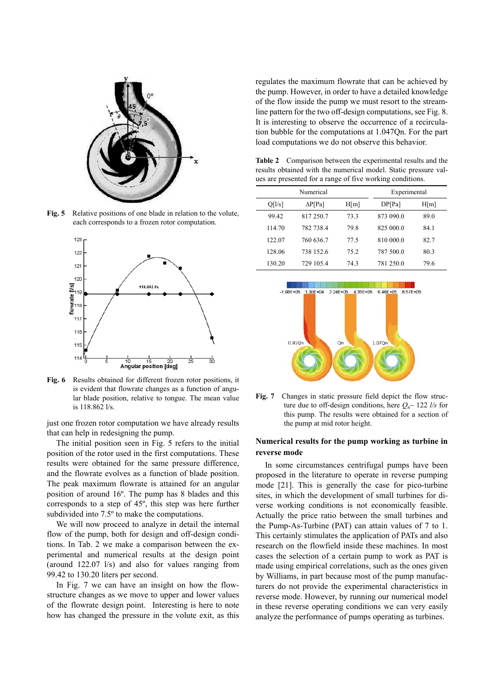

Relative positions of one blade in relation to the volute, Fig.  $5$ each corresponds to a frozen rotor computation.



Fig. 6 Results obtained for different frozen rotor positions, it is evident that flowrate changes as a function of angular blade position, relative to tongue. The mean value is  $118.8621/s$ 

just one frozen rotor computation we have already results that can help in redesigning the pump.

The initial position seen in Fig. 5 refers to the initial position of the rotor used in the first computations. These results were obtained for the same pressure difference, and the flowrate evolves as a function of blade position. The peak maximum flowrate is attained for an angular position of around 16°. The pump has 8 blades and this corresponds to a step of 45°, this step was here further subdivided into 7.5° to make the computations.

We will now proceed to analyze in detail the internal flow of the pump, both for design and off-design conditions. In Tab. 2 we make a comparison between the experimental and numerical results at the design point (around  $122.07 \frac{1}{s}$ ) and also for values ranging from 99.42 to 130.20 liters per second.

In Fig. 7 we can have an insight on how the flowstructure changes as we move to upper and lower values of the flowrate design point. Interesting is here to note how has changed the pressure in the volute exit, as this regulates the maximum flowrate that can be achieved by the pump. However, in order to have a detailed knowledge of the flow inside the pump we must resort to the streamline pattern for the two off-design computations, see Fig. 8. It is interesting to observe the occurrence of a recirculation bubble for the computations at 1.047Qn. For the part load computations we do not observe this behavior.

Table 2 Comparison between the experimental results and the results obtained with the numerical model. Static pressure values are presented for a range of five working conditions.

| Numerical |                |      | Experimental |      |
|-----------|----------------|------|--------------|------|
| Q[1/s]    | $\Delta P[Pa]$ | H[m] | DP[Pa]       | H[m] |
| 99.42     | 817 250.7      | 73.3 | 873 090.0    | 89.0 |
| 114.70    | 782 738.4      | 79.8 | 825 000.0    | 84.1 |
| 122.07    | 760 636.7      | 77.5 | 810 000.0    | 82.7 |
| 128.06    | 738 152.6      | 75.2 | 787 500.0    | 80.3 |
| 130.20    | 729 105.4      | 74.3 | 781 250.0    | 79.6 |





### Numerical results for the pump working as turbine in reverse mode

In some circumstances centrifugal pumps have been proposed in the literature to operate in reverse pumping mode [21]. This is generally the case for pico-turbine sites, in which the development of small turbines for diverse working conditions is not economically feasible. Actually the price ratio between the small turbines and the Pump-As-Turbine (PAT) can attain values of 7 to 1. This certainly stimulates the application of PATs and also research on the flowfield inside these machines. In most cases the selection of a certain pump to work as PAT is made using empirical correlations, such as the ones given by Williams, in part because most of the pump manufacturers do not provide the experimental characteristics in reverse mode. However, by running our numerical model in these reverse operating conditions we can very easily analyze the performance of pumps operating as turbines.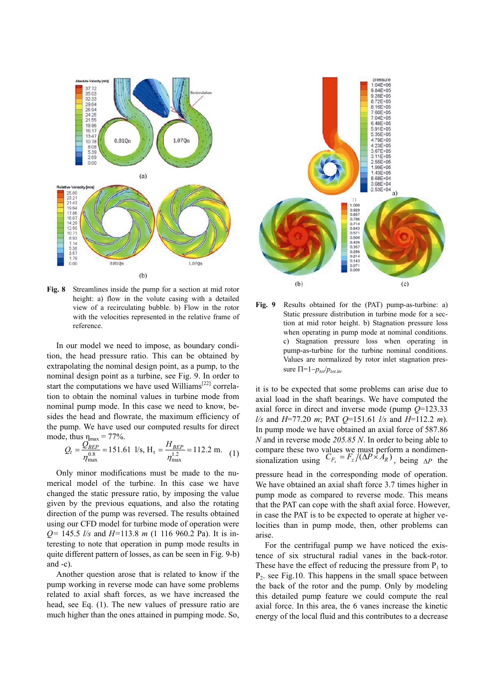

Fig. 8 Streamlines inside the pump for a section at mid rotor height: a) flow in the volute casing with a detailed view of a recirculating bubble. b) Flow in the rotor with the velocities represented in the relative frame of reference.

In our model we need to impose, as boundary condition, the head pressure ratio. This can be obtained by extrapolating the nominal design point, as a pump, to the nominal design point as a turbine, see Fig. 9. In order to start the computations we have used Williams<sup>[22]</sup> correlation to obtain the nominal values in turbine mode from nominal pump mode. In this case we need to know, besides the head and flowrate, the maximum efficiency of the pump. We have used our computed results for direct mode, thus  $\eta_{\text{max}} = 77\%$ .

$$
Q_t = \frac{Q_{BEP}^{max}}{\eta_{\text{max}}^{0.8}} = 151.61 \text{ l/s}, H_t = \frac{H_{BEP}}{\eta_{\text{max}}^{1.2}} = 112.2 \text{ m}.
$$
 (1)

Only minor modifications must be made to the numerical model of the turbine. In this case we have changed the static pressure ratio, by imposing the value given by the previous equations, and also the rotating direction of the pump was reversed. The results obtained using our CFD model for turbine mode of operation were  $Q = 145.5$  *l/s* and  $H = 113.8$  *m* (1 116 960.2 Pa). It is interesting to note that operation in pump mode results in quite different pattern of losses, as can be seen in Fig. 9-b) and  $-c$ ).

Another question arose that is related to know if the pump working in reverse mode can have some problems related to axial shaft forces, as we have increased the head, see Eq. (1). The new values of pressure ratio are much higher than the ones attained in pumping mode. So,



Fig. 9 Results obtained for the (PAT) pump-as-turbine: a) Static pressure distribution in turbine mode for a section at mid rotor height. b) Stagnation pressure loss when operating in pump mode at nominal conditions. c) Stagnation pressure loss when operating in pump-as-turbine for the turbine nominal conditions. Values are normalized by rotor inlet stagnation pressure  $\Pi = 1 - p_{tot}/p_{tot}$ .

it is to be expected that some problems can arise due to axial load in the shaft bearings. We have computed the axial force in direct and inverse mode (pump  $Q=123.33$ ) *l/s* and  $H=77.20$  *m*; PAT  $Q=151.61$  *l/s* and  $H=112.2$  *m*). In pump mode we have obtained an axial force of 587.86 N and in reverse mode  $205.85$  N. In order to being able to compare these two values we must perform a nondimen-<br>sionalization using  $C_{F_z} = F_z/(\Delta P \times A_R)$ , being  $\Delta P$  the pressure head in the corresponding mode of operation.

We have obtained an axial shaft force 3.7 times higher in pump mode as compared to reverse mode. This means that the PAT can cope with the shaft axial force. However, in case the PAT is to be expected to operate at higher velocities than in pump mode, then, other problems can arise.

For the centrifugal pump we have noticed the existence of six structural radial vanes in the back-rotor. These have the effect of reducing the pressure from  $P_1$  to  $P_2$ . see Fig.10. This happens in the small space between the back of the rotor and the pump. Only by modeling this detailed pump feature we could compute the real axial force. In this area, the 6 vanes increase the kinetic energy of the local fluid and this contributes to a decrease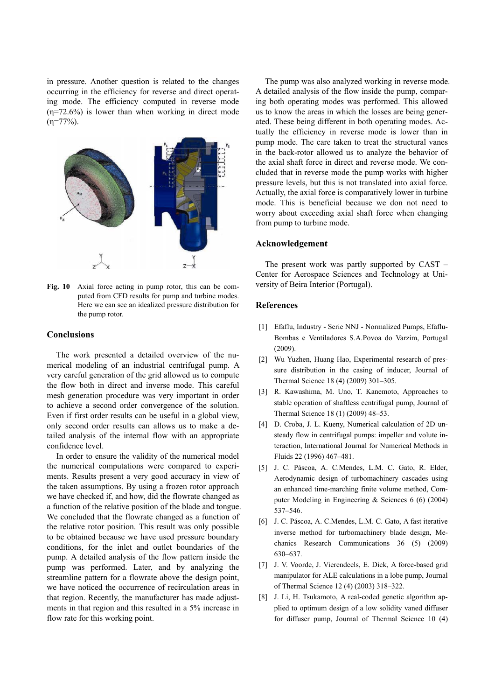in pressure. Another question is related to the changes occurring in the efficiency for reverse and direct operating mode. The efficiency computed in reverse mode  $(\eta = 72.6\%)$  is lower than when working in direct mode  $(\eta = 77\%)$ .



Fig. 10 Axial force acting in pump rotor, this can be computed from CFD results for pump and turbine modes. Here we can see an idealized pressure distribution for the pump rotor.

### Conclusions

The work presented a detailed overview of the numerical modeling of an industrial centrifugal pump. A very careful generation of the grid allowed us to compute the flow both in direct and inverse mode. This careful mesh generation procedure was very important in order to achieve a second order convergence of the solution. Even if first order results can be useful in a global view, only second order results can allows us to make a detailed analysis of the internal flow with an appropriate confidence level.

In order to ensure the validity of the numerical model the numerical computations were compared to experiments. Results present a very good accuracy in view of the taken assumptions. By using a frozen rotor approach we have checked if, and how, did the flowrate changed as a function of the relative position of the blade and tongue. We concluded that the flowrate changed as a function of the relative rotor position. This result was only possible to be obtained because we have used pressure boundary conditions, for the inlet and outlet boundaries of the pump. A detailed analysis of the flow pattern inside the pump was performed. Later, and by analyzing the streamline pattern for a flowrate above the design point, we have noticed the occurrence of recirculation areas in that region. Recently, the manufacturer has made adjustments in that region and this resulted in a 5% increase in flow rate for this working point.

The pump was also analyzed working in reverse mode. A detailed analysis of the flow inside the pump, comparing both operating modes was performed. This allowed us to know the areas in which the losses are being generated. These being different in both operating modes. Actually the efficiency in reverse mode is lower than in pump mode. The care taken to treat the structural vanes in the back-rotor allowed us to analyze the behavior of the axial shaft force in direct and reverse mode. We concluded that in reverse mode the pump works with higher pressure levels, but this is not translated into axial force. Actually, the axial force is comparatively lower in turbine mode. This is beneficial because we don not need to worry about exceeding axial shaft force when changing from pump to turbine mode.

#### Acknowledgement

The present work was partly supported by  $CAST -$ Center for Aerospace Sciences and Technology at University of Beira Interior (Portugal).

### **References**

- [1] Efaflu, Industry Serie NNJ Normalized Pumps, Efaflu-Bombas e Ventiladores S.A.Povoa do Varzim, Portugal  $(2009).$
- [2] Wu Yuzhen, Huang Hao, Experimental research of pressure distribution in the casing of inducer, Journal of Thermal Science 18 (4) (2009) 301-305.
- [3] R. Kawashima, M. Uno, T. Kanemoto, Approaches to stable operation of shaftless centrifugal pump, Journal of Thermal Science 18 (1) (2009) 48-53.
- [4] D. Croba, J. L. Kueny, Numerical calculation of 2D unsteady flow in centrifugal pumps: impeller and volute interaction. International Journal for Numerical Methods in Fluids 22 (1996) 467-481.
- [5] J. C. Páscoa, A. C.Mendes, L.M. C. Gato, R. Elder, Aerodynamic design of turbomachinery cascades using an enhanced time-marching finite volume method, Computer Modeling in Engineering & Sciences  $6(6)(2004)$ 537-546.
- [6] J. C. Páscoa, A. C. Mendes, L.M. C. Gato, A fast iterative inverse method for turbomachinery blade design, Mechanics Research Communications 36 (5) (2009) 630-637.
- [7] J. V. Voorde, J. Vierendeels, E. Dick, A force-based grid manipulator for ALE calculations in a lobe pump, Journal of Thermal Science 12 (4) (2003) 318-322.
- [8] J. Li, H. Tsukamoto, A real-coded genetic algorithm applied to optimum design of a low solidity vaned diffuser for diffuser pump, Journal of Thermal Science 10 (4)